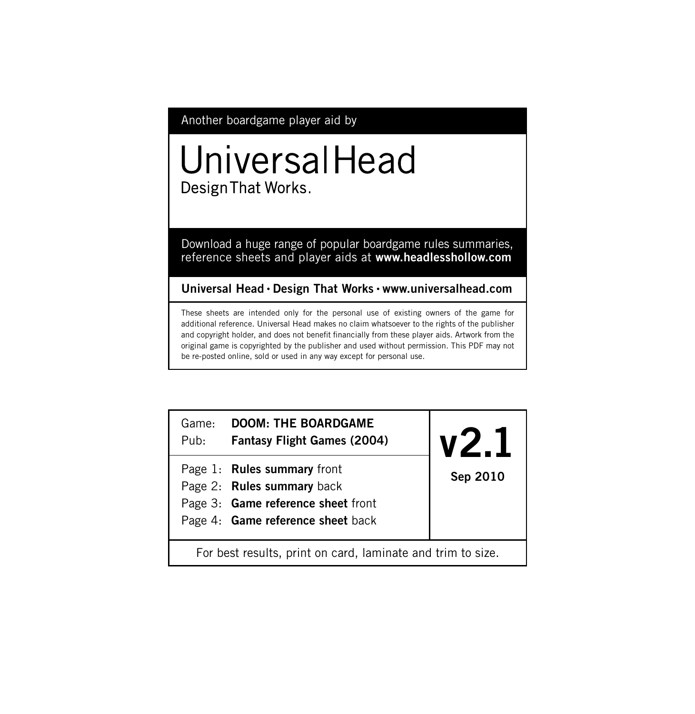Another boardgame player aid by

# UniversalHead Design That Works.

Download a huge range of popular boardgame rules summaries, reference sheets and player aids at **www.headlesshollow.com**

**Universal Head • Design That Works • www.universalhead.com**

These sheets are intended only for the personal use of existing owners of the game for additional reference. Universal Head makes no claim whatsoever to the rights of the publisher and copyright holder, and does not benefit financially from these player aids. Artwork from the original game is copyrighted by the publisher and used without permission. This PDF may not be re-posted online, sold or used in any way except for personal use.

| Game:<br>Pub:                                               | <b>DOOM: THE BOARDGAME</b><br><b>Fantasy Flight Games (2004)</b>                                                                     | VZ.1     |  |  |
|-------------------------------------------------------------|--------------------------------------------------------------------------------------------------------------------------------------|----------|--|--|
|                                                             | Page 1: Rules summary front<br>Page 2: Rules summary back<br>Page 3: Game reference sheet front<br>Page 4: Game reference sheet back | Sep 2010 |  |  |
| For best results, print on card, laminate and trim to size. |                                                                                                                                      |          |  |  |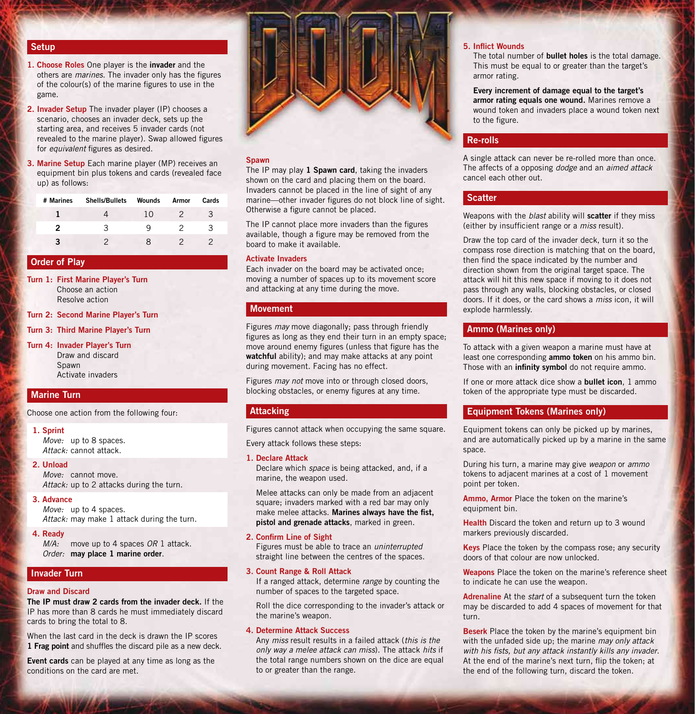# **Setup**

- **1. Choose Roles** One player is the **invader** and the others are *marines*. The invader only has the figures of the colour(s) of the marine figures to use in the game.
- **2. Invader Setup** The invader player (IP) chooses a scenario, chooses an invader deck, sets up the starting area, and receives 5 invader cards (not revealed to the marine player). Swap allowed figures for *equivalent* figures as desired.
- **3. Marine Setup** Each marine player (MP) receives an equipment bin plus tokens and cards (revealed face up) as follows:

| # Marines | <b>Shells/Bullets</b> | Wounds | Armor | Cards |
|-----------|-----------------------|--------|-------|-------|
|           |                       | 10     | 2     |       |
|           | w                     |        |       |       |
|           |                       |        |       |       |

# **Order of Play**

- **Turn 1: First Marine Player's Turn** Choose an action Resolve action
- **Turn 2: Second Marine Player's Turn**
- **Turn 3: Third Marine Player's Turn**
- **Turn 4: Invader Player's Turn** Draw and discard Spawn Activate invaders

# **Marine Turn**

Choose one action from the following four:

### **1. Sprint**

*Move:* up to 8 spaces. *Attack:* cannot attack.

# **2. Unload**

*Move:* cannot move. *Attack:* up to 2 attacks during the turn.

**3. Advance**

*Move:* up to 4 spaces. *Attack:* may make 1 attack during the turn.

# **4. Ready**

*M/A:* move up to 4 spaces *OR* 1 attack. *Order:* **may place 1 marine order**.

# **Invader Turn**

# **Draw and Discard**

**The IP must draw 2 cards from the invader deck.** If the IP has more than 8 cards he must immediately discard cards to bring the total to 8.

When the last card in the deck is drawn the IP scores **1 Frag point** and shuffles the discard pile as a new deck.

**Event cards** can be played at any time as long as the conditions on the card are met.



### **Spawn**

The IP may play **1 Spawn card**, taking the invaders shown on the card and placing them on the board. Invaders cannot be placed in the line of sight of any marine—other invader figures do not block line of sight. Otherwise a figure cannot be placed.

The IP cannot place more invaders than the figures available, though a figure may be removed from the board to make it available.

# **Activate Invaders**

Each invader on the board may be activated once; moving a number of spaces up to its movement score and attacking at any time during the move.

### **Movement**

Figures *may* move diagonally; pass through friendly figures as long as they end their turn in an empty space; move around enemy figures (unless that figure has the **watchful** ability); and may make attacks at any point during movement. Facing has no effect.

Figures *may not* move into or through closed doors, blocking obstacles, or enemy figures at any time.

# **Attacking**

Figures cannot attack when occupying the same square.

Every attack follows these steps:

### **1. Declare Attack**

Declare which *space* is being attacked, and, if a marine, the weapon used.

Melee attacks can only be made from an adjacent square; invaders marked with a red bar may only make melee attacks. **Marines always have the fist, pistol and grenade attacks**, marked in green.

# **2. Confirm Line of Sight**

Figures must be able to trace an *uninterrupted* straight line between the centres of the spaces.

# **3. Count Range & Roll Attack**

If a ranged attack, determine *range* by counting the number of spaces to the targeted space.

Roll the dice corresponding to the invader's attack or the marine's weapon.

# **4. Determine Attack Success**

Any *miss* result results in a failed attack (*this is the only way a melee attack can miss*). The attack *hits* if the total range numbers shown on the dice are equal to or greater than the range.

# **5. Inflict Wounds**

The total number of **bullet holes** is the total damage. This must be equal to or greater than the target's armor rating.

**Every increment of damage equal to the target's armor rating equals one wound.** Marines remove a wound token and invaders place a wound token next to the figure.

# **Re-rolls**

A single attack can never be re-rolled more than once. The affects of a opposing *dodge* and an *aimed attack* cancel each other out.

# **Scatter**

Weapons with the *blast* ability will **scatter** if they miss (either by insufficient range or a *miss* result).

Draw the top card of the invader deck, turn it so the compass rose direction is matching that on the board, then find the space indicated by the number and direction shown from the original target space. The attack will hit this new space if moving to it does not pass through any walls, blocking obstacles, or closed doors. If it does, or the card shows a *miss* icon, it will explode harmlessly.

# **Ammo (Marines only)**

To attack with a given weapon a marine must have at least one corresponding **ammo token** on his ammo bin. Those with an **infinity symbol** do not require ammo.

If one or more attack dice show a **bullet icon**, 1 ammo token of the appropriate type must be discarded.

# **Equipment Tokens (Marines only)**

Equipment tokens can only be picked up by marines, and are automatically picked up by a marine in the same space.

During his turn, a marine may give *weapon* or *ammo* tokens to adjacent marines at a cost of 1 movement point per token.

**Ammo, Armor** Place the token on the marine's equipment bin.

**Health** Discard the token and return up to 3 wound markers previously discarded.

**Keys** Place the token by the compass rose; any security doors of that colour are now unlocked.

**Weapons** Place the token on the marine's reference sheet to indicate he can use the weapon.

**Adrenaline** At the *start* of a subsequent turn the token may be discarded to add 4 spaces of movement for that turn.

**Beserk** Place the token by the marine's equipment bin with the unfaded side up; the marine *may only attack with his fists, but any attack instantly kills any invader*. At the end of the marine's next turn, flip the token; at the end of the following turn, discard the token.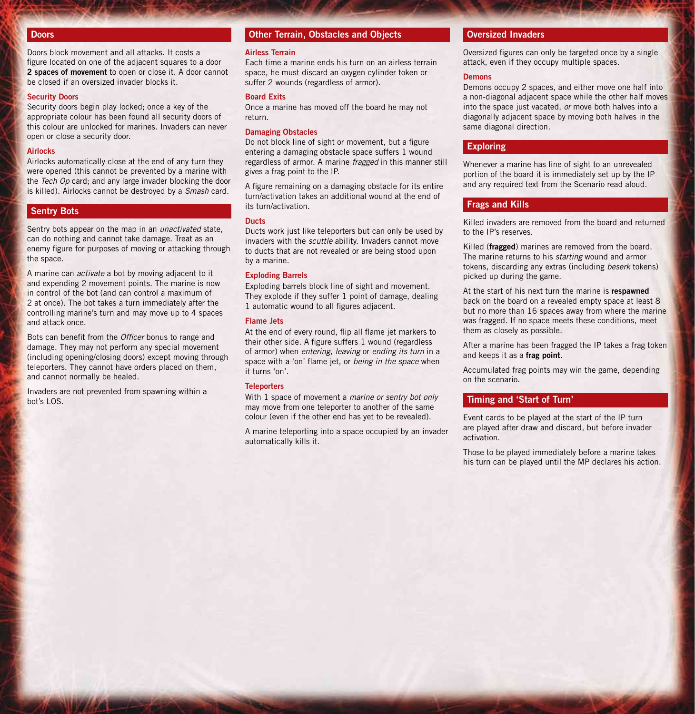# **Doors**

Doors block movement and all attacks. It costs a figure located on one of the adjacent squares to a door **2 spaces of movement** to open or close it. A door cannot be closed if an oversized invader blocks it.

### **Security Doors**

Security doors begin play locked; once a key of the appropriate colour has been found all security doors of this colour are unlocked for marines. Invaders can never open or close a security door.

### **Airlocks**

Airlocks automatically close at the end of any turn they were opened (this cannot be prevented by a marine with the *Tech Op* card; and any large invader blocking the door is killed). Airlocks cannot be destroyed by a *Smash* card.

# **Sentry Bots**

Sentry bots appear on the map in an *unactivated* state, can do nothing and cannot take damage. Treat as an enemy figure for purposes of moving or attacking through the space.

A marine can *activate* a bot by moving adjacent to it and expending 2 movement points. The marine is now in control of the bot (and can control a maximum of 2 at once). The bot takes a turn immediately after the controlling marine's turn and may move up to 4 spaces and attack once.

Bots can benefit from the *Officer* bonus to range and damage. They may not perform any special movement (including opening/closing doors) except moving through teleporters. They cannot have orders placed on them, and cannot normally be healed.

Invaders are not prevented from spawning within a bot's LOS.

# **Other Terrain, Obstacles and Objects**

### **Airless Terrain**

Each time a marine ends his turn on an airless terrain space, he must discard an oxygen cylinder token or suffer 2 wounds (regardless of armor).

### **Board Exits**

Once a marine has moved off the board he may not return.

### **Damaging Obstacles**

Do not block line of sight or movement, but a figure entering a damaging obstacle space suffers 1 wound regardless of armor. A marine *fragged* in this manner still gives a frag point to the IP.

A figure remaining on a damaging obstacle for its entire turn/activation takes an additional wound at the end of its turn/activation.

### **Ducts**

Ducts work just like teleporters but can only be used by invaders with the *scuttle* ability. Invaders cannot move to ducts that are not revealed or are being stood upon by a marine.

### **Exploding Barrels**

Exploding barrels block line of sight and movement. They explode if they suffer 1 point of damage, dealing 1 automatic wound to all figures adjacent.

### **Flame Jets**

At the end of every round, flip all flame jet markers to their other side. A figure suffers 1 wound (regardless of armor) when *entering*, *leaving* or *ending its turn* in a space with a 'on' flame jet, or *being in the space* when it turns 'on'.

# **Teleporters**

With 1 space of movement a *marine or sentry bot only* may move from one teleporter to another of the same colour (even if the other end has yet to be revealed).

A marine teleporting into a space occupied by an invader automatically kills it.

# **Oversized Invaders**

Oversized figures can only be targeted once by a single attack, even if they occupy multiple spaces.

### **Demons**

Demons occupy 2 spaces, and either move one half into a non-diagonal adjacent space while the other half moves into the space just vacated, *or* move both halves into a diagonally adjacent space by moving both halves in the same diagonal direction.

# **Exploring**

Whenever a marine has line of sight to an unrevealed portion of the board it is immediately set up by the IP and any required text from the Scenario read aloud.

# **Frags and Kills**

Killed invaders are removed from the board and returned to the IP's reserves.

Killed (**fragged**) marines are removed from the board. The marine returns to his *starting* wound and armor tokens, discarding any extras (including *beserk* tokens) picked up during the game.

At the start of his next turn the marine is **respawned** back on the board on a revealed empty space at least 8 but no more than 16 spaces away from where the marine was fragged. If no space meets these conditions, meet them as closely as possible.

After a marine has been fragged the IP takes a frag token and keeps it as a **frag point**.

Accumulated frag points may win the game, depending on the scenario.

# **Timing and 'Start of Turn'**

Event cards to be played at the start of the IP turn are played after draw and discard, but before invader activation.

Those to be played immediately before a marine takes his turn can be played until the MP declares his action.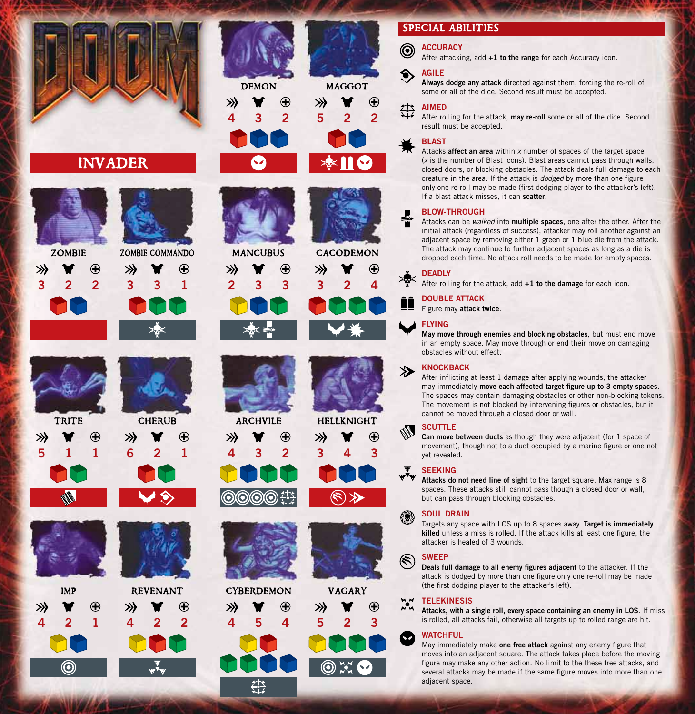

# INVADER





**ZOMBIE** ≫





**TRITE** ≫ Œ **5 1 1**









◉











MANCUBUS ))





v





VAGARY



#### **ACCURACY** ◉

After attacking, add **+1 to the range** for each Accuracy icon.

# **AGILE**

**Always dodge any attack** directed against them, forcing the re-roll of some or all of the dice. Second result must be accepted.

# **AIMED**

After rolling for the attack, **may re-roll** some or all of the dice. Second result must be accepted.

# **BLAST**

Attacks **affect an area** within *x* number of spaces of the target space (*x* is the number of Blast icons). Blast areas cannot pass through walls, closed doors, or blocking obstacles. The attack deals full damage to each creature in the area. If the attack is *dodged* by more than one figure only one re-roll may be made (first dodging player to the attacker's left). If a blast attack misses, it can **scatter**.

# **BLOW-THROUGH**

Attacks can be *walked* into **multiple spaces**, one after the other. After the initial attack (regardless of success), attacker may roll another against an adjacent space by removing either 1 green or 1 blue die from the attack. The attack may continue to further adjacent spaces as long as a die is dropped each time. No attack roll needs to be made for empty spaces.

# **DEADLY**

After rolling for the attack, add **+1 to the damage** for each icon.

### **DOUBLE ATTACK** Figure may **attack twice**.

# **FLYING**

 $\rightarrow$ 

@)

 $(\tilde{\mathbf{r}})$ 

☎

**May move through enemies and blocking obstacles**, but must end move in an empty space. May move through or end their move on damaging obstacles without effect.

# **KNOCKBACK**

After inflicting at least 1 damage after applying wounds, the attacker may immediately **move each affected target figure up to 3 empty spaces**. The spaces may contain damaging obstacles or other non-blocking tokens. The movement is not blocked by intervening figures or obstacles, but it cannot be moved through a closed door or wall.

# **SCUTTLE**

**Can move between ducts** as though they were adjacent (for 1 space of movement), though not to a duct occupied by a marine figure or one not yet revealed.

# **SEEKING**

Attacks do not need line of sight to the target square. Max range is 8 spaces. These attacks still cannot pass though a closed door or wall, but can pass through blocking obstacles.

# **SOUL DRAIN**

Targets any space with LOS up to 8 spaces away. **Target is immediately killed** unless a miss is rolled. If the attack kills at least one figure, the attacker is healed of 3 wounds.

# **SWEEP**

**Deals full damage to all enemy figures adjacent** to the attacker. If the attack is dodged by more than one figure only one re-roll may be made (the first dodging player to the attacker's left).

# **MM** TELEKINESIS

**Attacks, with a single roll, every space containing an enemy in LOS**. If miss is rolled, all attacks fail, otherwise all targets up to rolled range are hit.

# **WATCHFUL**

May immediately make **one free attack** against any enemy figure that moves into an adjacent square. The attack takes place before the moving figure may make any other action. No limit to the these free attacks, and several attacks may be made if the same figure moves into more than one adjacent space.



**ARCHVILE** 

≫

0 രര Œ

**4 3 2**



≫







Œ









≫



**CHERUB** 

 $\bigoplus$ 

**6 2 1**







鲁